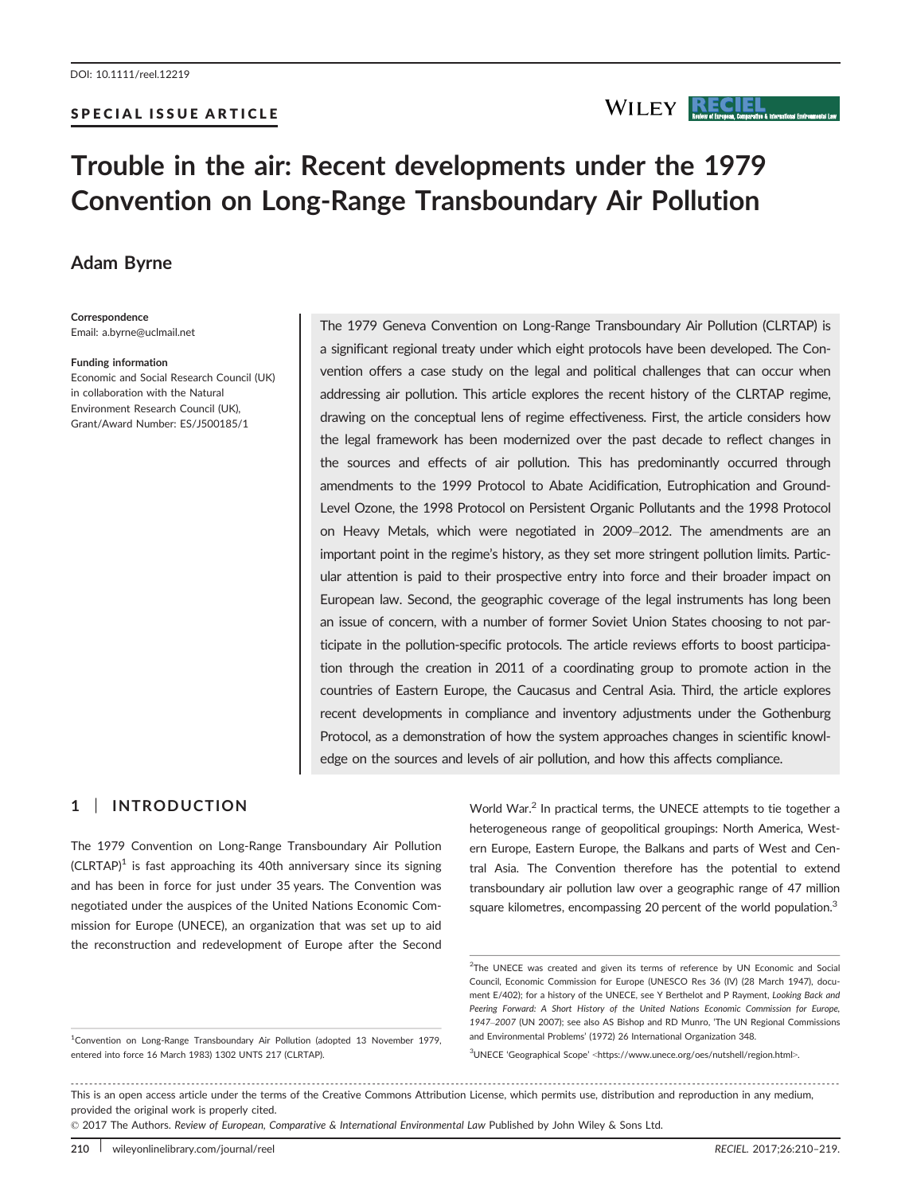#### SPECIAL ISSUE ARTICLE

# Trouble in the air: Recent developments under the 1979 Convention on Long-Range Transboundary Air Pollution

# Adam Byrne

Correspondence Email: a.byrne@uclmail.net

#### Funding information

Economic and Social Research Council (UK) in collaboration with the Natural Environment Research Council (UK), Grant/Award Number: ES/J500185/1

The 1979 Geneva Convention on Long-Range Transboundary Air Pollution (CLRTAP) is a significant regional treaty under which eight protocols have been developed. The Convention offers a case study on the legal and political challenges that can occur when addressing air pollution. This article explores the recent history of the CLRTAP regime, drawing on the conceptual lens of regime effectiveness. First, the article considers how the legal framework has been modernized over the past decade to reflect changes in the sources and effects of air pollution. This has predominantly occurred through amendments to the 1999 Protocol to Abate Acidification, Eutrophication and Ground-Level Ozone, the 1998 Protocol on Persistent Organic Pollutants and the 1998 Protocol on Heavy Metals, which were negotiated in 2009–2012. The amendments are an important point in the regime's history, as they set more stringent pollution limits. Particular attention is paid to their prospective entry into force and their broader impact on European law. Second, the geographic coverage of the legal instruments has long been an issue of concern, with a number of former Soviet Union States choosing to not participate in the pollution-specific protocols. The article reviews efforts to boost participation through the creation in 2011 of a coordinating group to promote action in the countries of Eastern Europe, the Caucasus and Central Asia. Third, the article explores recent developments in compliance and inventory adjustments under the Gothenburg Protocol, as a demonstration of how the system approaches changes in scientific knowledge on the sources and levels of air pollution, and how this affects compliance.

#### 1 | INTRODUCTION

The 1979 Convention on Long-Range Transboundary Air Pollution  $(CLRTAP)^1$  is fast approaching its 40th anniversary since its signing and has been in force for just under 35 years. The Convention was negotiated under the auspices of the United Nations Economic Commission for Europe (UNECE), an organization that was set up to aid the reconstruction and redevelopment of Europe after the Second

<sup>1</sup>Convention on Long-Range Transboundary Air Pollution (adopted 13 November 1979, entered into force 16 March 1983) 1302 UNTS 217 (CLRTAP).

World War.<sup>2</sup> In practical terms, the UNECE attempts to tie together a heterogeneous range of geopolitical groupings: North America, Western Europe, Eastern Europe, the Balkans and parts of West and Central Asia. The Convention therefore has the potential to extend transboundary air pollution law over a geographic range of 47 million square kilometres, encompassing 20 percent of the world population.<sup>3</sup>

**WILEY RECIEL** 

3 UNECE 'Geographical Scope' <<https://www.unece.org/oes/nutshell/region.html>>.

------------------------------------------------------------------------------------------------------------------------------- --------------------------------------- This is an open access article under the terms of the [Creative Commons Attribution](http://creativecommons.org/licenses/by/4.0/) License, which permits use, distribution and reproduction in any medium, provided the original work is properly cited.

© 2017 The Authors. Review of European, Comparative & International Environmental Law Published by John Wiley & Sons Ltd.

<sup>&</sup>lt;sup>2</sup>The UNECE was created and given its terms of reference by UN Economic and Social Council, Economic Commission for Europe (UNESCO Res 36 (IV) (28 March 1947), document E/402); for a history of the UNECE, see Y Berthelot and P Rayment, Looking Back and Peering Forward: A Short History of the United Nations Economic Commission for Eurone. 1947–2007 (UN 2007); see also AS Bishop and RD Munro, 'The UN Regional Commissions and Environmental Problems' (1972) 26 International Organization 348.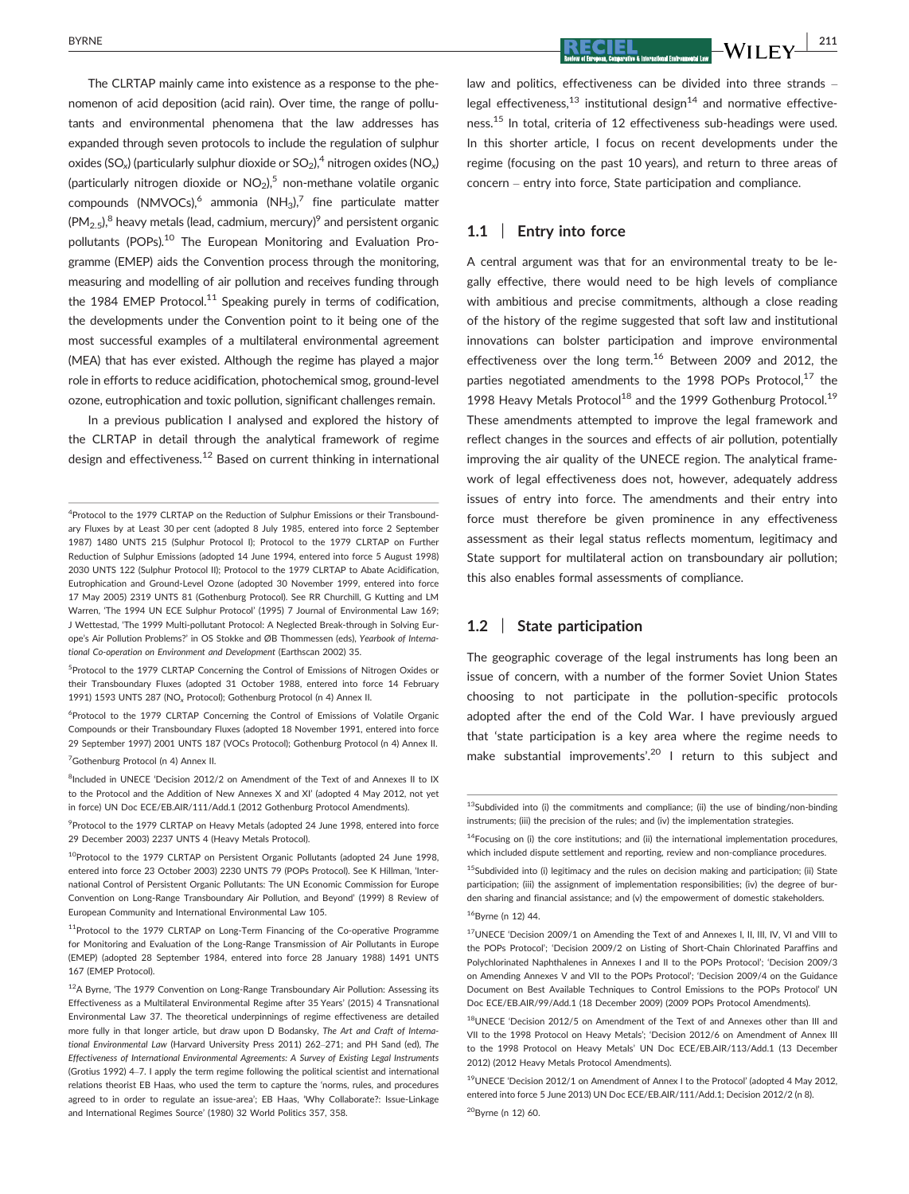The CLRTAP mainly came into existence as a response to the phenomenon of acid deposition (acid rain). Over time, the range of pollutants and environmental phenomena that the law addresses has expanded through seven protocols to include the regulation of sulphur oxides (SO<sub>x</sub>) (particularly sulphur dioxide or  $SO_2$ ), <sup>4</sup> nitrogen oxides (NO<sub>x</sub>) (particularly nitrogen dioxide or  $NO<sub>2</sub>$ ),<sup>5</sup> non-methane volatile organic compounds (NMVOCs),<sup>6</sup> ammonia (NH<sub>3</sub>),<sup>7</sup> fine particulate matter  $(PM_{2.5})$ <sup>8</sup> heavy metals (lead, cadmium, mercury)<sup>9</sup> and persistent organic pollutants (POPs).<sup>10</sup> The European Monitoring and Evaluation Programme (EMEP) aids the Convention process through the monitoring, measuring and modelling of air pollution and receives funding through the 1984 EMEP Protocol.<sup>11</sup> Speaking purely in terms of codification, the developments under the Convention point to it being one of the most successful examples of a multilateral environmental agreement (MEA) that has ever existed. Although the regime has played a major role in efforts to reduce acidification, photochemical smog, ground-level ozone, eutrophication and toxic pollution, significant challenges remain.

In a previous publication I analysed and explored the history of the CLRTAP in detail through the analytical framework of regime design and effectiveness.<sup>12</sup> Based on current thinking in international

<sup>5</sup>Protocol to the 1979 CLRTAP Concerning the Control of Emissions of Nitrogen Oxides or their Transboundary Fluxes (adopted 31 October 1988, entered into force 14 February 1991) 1593 UNTS 287 (NO<sub>x</sub> Protocol); Gothenburg Protocol (n 4) Annex II.

6 Protocol to the 1979 CLRTAP Concerning the Control of Emissions of Volatile Organic Compounds or their Transboundary Fluxes (adopted 18 November 1991, entered into force 29 September 1997) 2001 UNTS 187 (VOCs Protocol); Gothenburg Protocol (n 4) Annex II.

<sup>7</sup>Gothenburg Protocol (n 4) Annex II.

<sup>9</sup> Protocol to the 1979 CLRTAP on Heavy Metals (adopted 24 June 1998, entered into force 29 December 2003) 2237 UNTS 4 (Heavy Metals Protocol).

 $BY$ RECIEL  $WII$  FY  $\overline{211}$ 

law and politics, effectiveness can be divided into three strands – legal effectiveness.<sup>13</sup> institutional design<sup>14</sup> and normative effectiveness.15 In total, criteria of 12 effectiveness sub-headings were used. In this shorter article, I focus on recent developments under the regime (focusing on the past 10 years), and return to three areas of concern – entry into force, State participation and compliance.

#### 1.1 | Entry into force

A central argument was that for an environmental treaty to be legally effective, there would need to be high levels of compliance with ambitious and precise commitments, although a close reading of the history of the regime suggested that soft law and institutional innovations can bolster participation and improve environmental effectiveness over the long term.<sup>16</sup> Between 2009 and 2012, the parties negotiated amendments to the 1998 POPs Protocol, $17$  the 1998 Heavy Metals Protocol<sup>18</sup> and the 1999 Gothenburg Protocol.<sup>19</sup> These amendments attempted to improve the legal framework and reflect changes in the sources and effects of air pollution, potentially improving the air quality of the UNECE region. The analytical framework of legal effectiveness does not, however, adequately address issues of entry into force. The amendments and their entry into force must therefore be given prominence in any effectiveness assessment as their legal status reflects momentum, legitimacy and State support for multilateral action on transboundary air pollution; this also enables formal assessments of compliance.

#### 1.2 | State participation

The geographic coverage of the legal instruments has long been an issue of concern, with a number of the former Soviet Union States choosing to not participate in the pollution-specific protocols adopted after the end of the Cold War. I have previously argued that 'state participation is a key area where the regime needs to make substantial improvements'.<sup>20</sup> I return to this subject and

<sup>&</sup>lt;sup>4</sup>Protocol to the 1979 CLRTAP on the Reduction of Sulphur Emissions or their Transboundary Fluxes by at Least 30 per cent (adopted 8 July 1985, entered into force 2 September 1987) 1480 UNTS 215 (Sulphur Protocol I); Protocol to the 1979 CLRTAP on Further Reduction of Sulphur Emissions (adopted 14 June 1994, entered into force 5 August 1998) 2030 UNTS 122 (Sulphur Protocol II); Protocol to the 1979 CLRTAP to Abate Acidification, Eutrophication and Ground-Level Ozone (adopted 30 November 1999, entered into force 17 May 2005) 2319 UNTS 81 (Gothenburg Protocol). See RR Churchill, G Kutting and LM Warren, 'The 1994 UN ECE Sulphur Protocol' (1995) 7 Journal of Environmental Law 169; J Wettestad, 'The 1999 Multi-pollutant Protocol: A Neglected Break-through in Solving Europe's Air Pollution Problems?' in OS Stokke and ØB Thommessen (eds), Yearbook of International Co-operation on Environment and Development (Earthscan 2002) 35.

<sup>&</sup>lt;sup>8</sup>Included in UNECE 'Decision 2012/2 on Amendment of the Text of and Annexes II to IX to the Protocol and the Addition of New Annexes X and XI' (adopted 4 May 2012, not yet in force) UN Doc ECE/EB.AIR/111/Add.1 (2012 Gothenburg Protocol Amendments).

<sup>&</sup>lt;sup>10</sup>Protocol to the 1979 CLRTAP on Persistent Organic Pollutants (adopted 24 June 1998, entered into force 23 October 2003) 2230 UNTS 79 (POPs Protocol). See K Hillman, 'International Control of Persistent Organic Pollutants: The UN Economic Commission for Europe Convention on Long-Range Transboundary Air Pollution, and Beyond' (1999) 8 Review of European Community and International Environmental Law 105.

<sup>&</sup>lt;sup>11</sup>Protocol to the 1979 CLRTAP on Long-Term Financing of the Co-operative Programme for Monitoring and Evaluation of the Long-Range Transmission of Air Pollutants in Europe (EMEP) (adopted 28 September 1984, entered into force 28 January 1988) 1491 UNTS 167 (EMEP Protocol).

<sup>&</sup>lt;sup>12</sup>A Byrne, 'The 1979 Convention on Long-Range Transboundary Air Pollution: Assessing its Effectiveness as a Multilateral Environmental Regime after 35 Years' (2015) 4 Transnational Environmental Law 37. The theoretical underpinnings of regime effectiveness are detailed more fully in that longer article, but draw upon D Bodansky, The Art and Craft of International Environmental Law (Harvard University Press 2011) 262–271; and PH Sand (ed), The Effectiveness of International Environmental Agreements: A Survey of Existing Legal Instruments (Grotius 1992) 4–7. I apply the term regime following the political scientist and international relations theorist EB Haas, who used the term to capture the 'norms, rules, and procedures agreed to in order to regulate an issue-area'; EB Haas, 'Why Collaborate?: Issue-Linkage and International Regimes Source' (1980) 32 World Politics 357, 358.

 $13$ Subdivided into (i) the commitments and compliance; (ii) the use of binding/non-binding instruments; (iii) the precision of the rules; and (iv) the implementation strategies.

 $14$ Focusing on (i) the core institutions; and (ii) the international implementation procedures, which included dispute settlement and reporting, review and non-compliance procedures.

 $15$ Subdivided into (i) legitimacy and the rules on decision making and participation; (ii) State participation; (iii) the assignment of implementation responsibilities; (iv) the degree of burden sharing and financial assistance; and (v) the empowerment of domestic stakeholders. 16Byrne (n 12) 44.

<sup>17</sup>UNECE 'Decision 2009/1 on Amending the Text of and Annexes I, II, III, IV, VI and VIII to the POPs Protocol'; 'Decision 2009/2 on Listing of Short-Chain Chlorinated Paraffins and Polychlorinated Naphthalenes in Annexes I and II to the POPs Protocol'; 'Decision 2009/3 on Amending Annexes V and VII to the POPs Protocol'; 'Decision 2009/4 on the Guidance Document on Best Available Techniques to Control Emissions to the POPs Protocol' UN Doc ECE/EB.AIR/99/Add.1 (18 December 2009) (2009 POPs Protocol Amendments).

<sup>18</sup>UNECE 'Decision 2012/5 on Amendment of the Text of and Annexes other than III and VII to the 1998 Protocol on Heavy Metals'; 'Decision 2012/6 on Amendment of Annex III to the 1998 Protocol on Heavy Metals' UN Doc ECE/EB.AIR/113/Add.1 (13 December 2012) (2012 Heavy Metals Protocol Amendments).

<sup>19</sup>UNECE 'Decision 2012/1 on Amendment of Annex I to the Protocol' (adopted 4 May 2012, entered into force 5 June 2013) UN Doc ECE/EB.AIR/111/Add.1; Decision 2012/2 (n 8). 20Byrne (n 12) 60.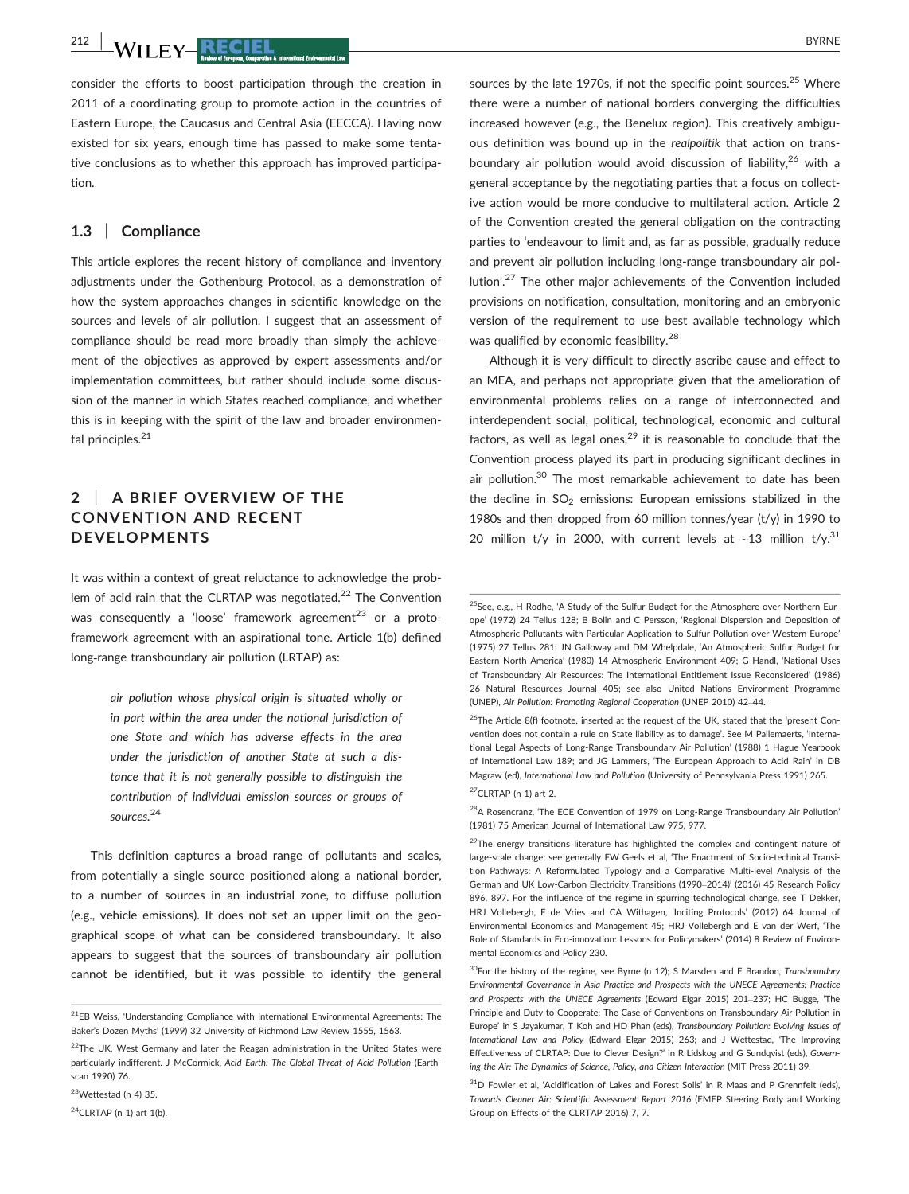$^{212}$  | M/H EV RECIEL  $^{8}$ 

consider the efforts to boost participation through the creation in 2011 of a coordinating group to promote action in the countries of Eastern Europe, the Caucasus and Central Asia (EECCA). Having now existed for six years, enough time has passed to make some tentative conclusions as to whether this approach has improved participation.

#### 1.3 | Compliance

This article explores the recent history of compliance and inventory adjustments under the Gothenburg Protocol, as a demonstration of how the system approaches changes in scientific knowledge on the sources and levels of air pollution. I suggest that an assessment of compliance should be read more broadly than simply the achievement of the objectives as approved by expert assessments and/or implementation committees, but rather should include some discussion of the manner in which States reached compliance, and whether this is in keeping with the spirit of the law and broader environmental principles.<sup>21</sup>

## 2 | A BRIEF OVERVIEW OF THE CONVENTION AND RECENT DEVELOPMENTS

It was within a context of great reluctance to acknowledge the problem of acid rain that the CLRTAP was negotiated.<sup>22</sup> The Convention was consequently a 'loose' framework agreement<sup>23</sup> or a protoframework agreement with an aspirational tone. Article 1(b) defined long-range transboundary air pollution (LRTAP) as:

> air pollution whose physical origin is situated wholly or in part within the area under the national jurisdiction of one State and which has adverse effects in the area under the jurisdiction of another State at such a distance that it is not generally possible to distinguish the contribution of individual emission sources or groups of sources.<sup>24</sup>

This definition captures a broad range of pollutants and scales, from potentially a single source positioned along a national border, to a number of sources in an industrial zone, to diffuse pollution (e.g., vehicle emissions). It does not set an upper limit on the geographical scope of what can be considered transboundary. It also appears to suggest that the sources of transboundary air pollution cannot be identified, but it was possible to identify the general

23Wettestad (n 4) 35.

sources by the late 1970s, if not the specific point sources. $25$  Where there were a number of national borders converging the difficulties increased however (e.g., the Benelux region). This creatively ambiguous definition was bound up in the realpolitik that action on transboundary air pollution would avoid discussion of liability.<sup>26</sup> with a general acceptance by the negotiating parties that a focus on collective action would be more conducive to multilateral action. Article 2 of the Convention created the general obligation on the contracting parties to 'endeavour to limit and, as far as possible, gradually reduce and prevent air pollution including long-range transboundary air pollution'.<sup>27</sup> The other major achievements of the Convention included provisions on notification, consultation, monitoring and an embryonic version of the requirement to use best available technology which was qualified by economic feasibility.<sup>28</sup>

Although it is very difficult to directly ascribe cause and effect to an MEA, and perhaps not appropriate given that the amelioration of environmental problems relies on a range of interconnected and interdependent social, political, technological, economic and cultural factors, as well as legal ones, $29$  it is reasonable to conclude that the Convention process played its part in producing significant declines in air pollution.<sup>30</sup> The most remarkable achievement to date has been the decline in  $SO<sub>2</sub>$  emissions: European emissions stabilized in the 1980s and then dropped from 60 million tonnes/year (t/y) in 1990 to 20 million t/y in 2000, with current levels at  $~13$  million t/y.<sup>31</sup>

 $27$ CLRTAP (n 1) art 2.

 $^{28}$ A Rosencranz, 'The ECE Convention of 1979 on Long-Range Transboundary Air Pollution' (1981) 75 American Journal of International Law 975, 977.

<sup>21</sup>EB Weiss, 'Understanding Compliance with International Environmental Agreements: The Baker's Dozen Myths' (1999) 32 University of Richmond Law Review 1555, 1563.

 $22$ The UK, West Germany and later the Reagan administration in the United States were particularly indifferent. J McCormick, Acid Earth: The Global Threat of Acid Pollution (Earthscan 1990) 76.

 $24$ CLRTAP (n 1) art 1(b).

<sup>&</sup>lt;sup>25</sup>See, e.g., H Rodhe, 'A Study of the Sulfur Budget for the Atmosphere over Northern Europe' (1972) 24 Tellus 128; B Bolin and C Persson, 'Regional Dispersion and Deposition of Atmospheric Pollutants with Particular Application to Sulfur Pollution over Western Europe' (1975) 27 Tellus 281; JN Galloway and DM Whelpdale, 'An Atmospheric Sulfur Budget for Eastern North America' (1980) 14 Atmospheric Environment 409; G Handl, 'National Uses of Transboundary Air Resources: The International Entitlement Issue Reconsidered' (1986) 26 Natural Resources Journal 405; see also United Nations Environment Programme (UNEP), Air Pollution: Promoting Regional Cooperation (UNEP 2010) 42–44.

<sup>&</sup>lt;sup>26</sup>The Article 8(f) footnote, inserted at the request of the UK, stated that the 'present Convention does not contain a rule on State liability as to damage'. See M Pallemaerts, 'International Legal Aspects of Long-Range Transboundary Air Pollution' (1988) 1 Hague Yearbook of International Law 189; and JG Lammers, 'The European Approach to Acid Rain' in DB Magraw (ed), International Law and Pollution (University of Pennsylvania Press 1991) 265.

 $29$ The energy transitions literature has highlighted the complex and contingent nature of large-scale change; see generally FW Geels et al, 'The Enactment of Socio-technical Transition Pathways: A Reformulated Typology and a Comparative Multi-level Analysis of the German and UK Low-Carbon Electricity Transitions (1990–2014)' (2016) 45 Research Policy 896, 897. For the influence of the regime in spurring technological change, see T Dekker, HRJ Vollebergh, F de Vries and CA Withagen, 'Inciting Protocols' (2012) 64 Journal of Environmental Economics and Management 45; HRJ Vollebergh and E van der Werf, 'The Role of Standards in Eco-innovation: Lessons for Policymakers' (2014) 8 Review of Environmental Economics and Policy 230.

<sup>&</sup>lt;sup>30</sup>For the history of the regime, see Byrne (n 12); S Marsden and E Brandon, Transboundary Environmental Governance in Asia Practice and Prospects with the UNECE Agreements: Practice and Prospects with the UNECE Agreements (Edward Elgar 2015) 201–237; HC Bugge, 'The Principle and Duty to Cooperate: The Case of Conventions on Transboundary Air Pollution in Europe' in S Jayakumar, T Koh and HD Phan (eds), Transboundary Pollution: Evolving Issues of International Law and Policy (Edward Elgar 2015) 263; and J Wettestad, 'The Improving Effectiveness of CLRTAP: Due to Clever Design?' in R Lidskog and G Sundqvist (eds), Governing the Air: The Dynamics of Science, Policy, and Citizen Interaction (MIT Press 2011) 39.

<sup>&</sup>lt;sup>31</sup>D Fowler et al, 'Acidification of Lakes and Forest Soils' in R Maas and P Grennfelt (eds), Towards Cleaner Air: Scientific Assessment Report 2016 (EMEP Steering Body and Working Group on Effects of the CLRTAP 2016) 7, 7.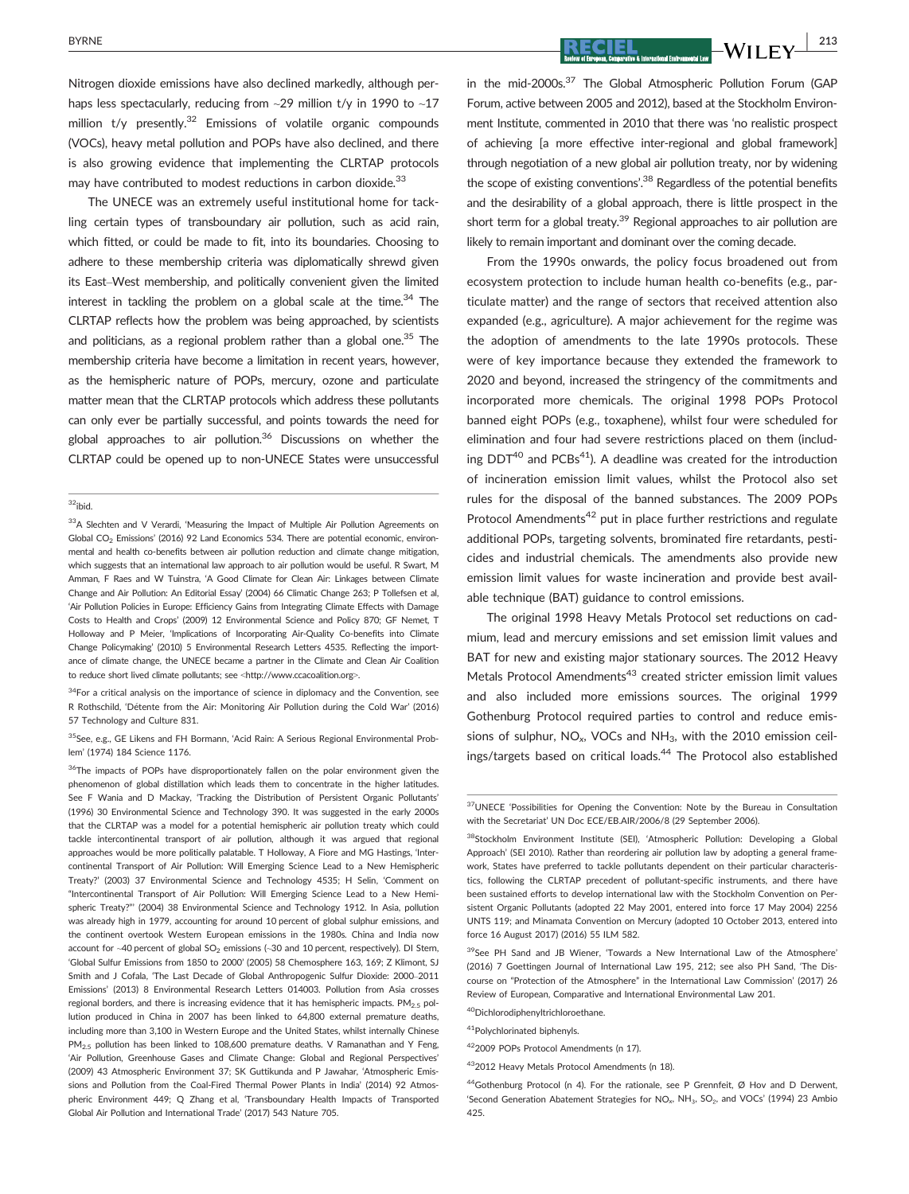Nitrogen dioxide emissions have also declined markedly, although perhaps less spectacularly, reducing from  $\sim$ 29 million t/y in 1990 to  $\sim$ 17 million  $t/v$  presently.<sup>32</sup> Emissions of volatile organic compounds (VOCs), heavy metal pollution and POPs have also declined, and there is also growing evidence that implementing the CLRTAP protocols may have contributed to modest reductions in carbon dioxide.<sup>33</sup>

The UNECE was an extremely useful institutional home for tackling certain types of transboundary air pollution, such as acid rain, which fitted, or could be made to fit, into its boundaries. Choosing to adhere to these membership criteria was diplomatically shrewd given its East–West membership, and politically convenient given the limited interest in tackling the problem on a global scale at the time.<sup>34</sup> The CLRTAP reflects how the problem was being approached, by scientists and politicians, as a regional problem rather than a global one. $35$  The membership criteria have become a limitation in recent years, however, as the hemispheric nature of POPs, mercury, ozone and particulate matter mean that the CLRTAP protocols which address these pollutants can only ever be partially successful, and points towards the need for global approaches to air pollution.<sup>36</sup> Discussions on whether the CLRTAP could be opened up to non-UNECE States were unsuccessful

#### $32$ ibid.

<sup>33</sup>A Slechten and V Verardi, 'Measuring the Impact of Multiple Air Pollution Agreements on Global  $CO_2$  Emissions' (2016) 92 Land Economics 534. There are potential economic, environmental and health co-benefits between air pollution reduction and climate change mitigation, which suggests that an international law approach to air pollution would be useful. R Swart, M Amman, F Raes and W Tuinstra, 'A Good Climate for Clean Air: Linkages between Climate Change and Air Pollution: An Editorial Essay' (2004) 66 Climatic Change 263; P Tollefsen et al, 'Air Pollution Policies in Europe: Efficiency Gains from Integrating Climate Effects with Damage Costs to Health and Crops' (2009) 12 Environmental Science and Policy 870; GF Nemet, T Holloway and P Meier, 'Implications of Incorporating Air-Quality Co-benefits into Climate Change Policymaking' (2010) 5 Environmental Research Letters 4535. Reflecting the importance of climate change, the UNECE became a partner in the Climate and Clean Air Coalition to reduce short lived climate pollutants; see <<http://www.ccacoalition.org>>.

 $34$ For a critical analysis on the importance of science in diplomacy and the Convention, see R Rothschild, 'Détente from the Air: Monitoring Air Pollution during the Cold War' (2016) 57 Technology and Culture 831.

<sup>35</sup>See, e.g., GE Likens and FH Bormann, 'Acid Rain: A Serious Regional Environmental Problem' (1974) 184 Science 1176.

<sup>36</sup>The impacts of POPs have disproportionately fallen on the polar environment given the phenomenon of global distillation which leads them to concentrate in the higher latitudes. See F Wania and D Mackay, 'Tracking the Distribution of Persistent Organic Pollutants' (1996) 30 Environmental Science and Technology 390. It was suggested in the early 2000s that the CLRTAP was a model for a potential hemispheric air pollution treaty which could tackle intercontinental transport of air pollution, although it was argued that regional approaches would be more politically palatable. T Holloway, A Fiore and MG Hastings, 'Intercontinental Transport of Air Pollution: Will Emerging Science Lead to a New Hemispheric Treaty?' (2003) 37 Environmental Science and Technology 4535; H Selin, 'Comment on "Intercontinental Transport of Air Pollution: Will Emerging Science Lead to a New Hemispheric Treaty?"' (2004) 38 Environmental Science and Technology 1912. In Asia, pollution was already high in 1979, accounting for around 10 percent of global sulphur emissions, and the continent overtook Western European emissions in the 1980s. China and India now account for  $\sim$ 40 percent of global SO<sub>2</sub> emissions ( $\sim$ 30 and 10 percent, respectively). DI Stern, 'Global Sulfur Emissions from 1850 to 2000' (2005) 58 Chemosphere 163, 169; Z Klimont, SJ Smith and J Cofala, 'The Last Decade of Global Anthropogenic Sulfur Dioxide: 2000–2011 Emissions' (2013) 8 Environmental Research Letters 014003. Pollution from Asia crosses regional borders, and there is increasing evidence that it has hemispheric impacts.  $PM<sub>2.5</sub>$  pollution produced in China in 2007 has been linked to 64,800 external premature deaths, including more than 3,100 in Western Europe and the United States, whilst internally Chinese  $PM_{2.5}$  pollution has been linked to 108,600 premature deaths. V Ramanathan and Y Feng, 'Air Pollution, Greenhouse Gases and Climate Change: Global and Regional Perspectives' (2009) 43 Atmospheric Environment 37; SK Guttikunda and P Jawahar, 'Atmospheric Emissions and Pollution from the Coal-Fired Thermal Power Plants in India' (2014) 92 Atmospheric Environment 449; Q Zhang et al, 'Transboundary Health Impacts of Transported Global Air Pollution and International Trade' (2017) 543 Nature 705.

BYRNE  $\begin{array}{|c|c|c|c|c|c|}\hline \textbf{P} & \textbf{P} & \textbf{M} & \textbf{N} & \textbf{N} & \textbf{N} & \textbf{N} & \textbf{N} & \textbf{N} & \textbf{N} & \textbf{N} & \textbf{N} & \textbf{N} & \textbf{N} & \textbf{N} & \textbf{N} & \textbf{N} & \textbf{N} & \textbf{N} & \textbf{N} & \textbf{N} & \textbf{N} & \textbf{N} & \textbf{N} & \textbf{N} & \textbf{N} & \textbf{N} & \textbf{$ 

in the mid-2000s.<sup>37</sup> The Global Atmospheric Pollution Forum (GAP Forum, active between 2005 and 2012), based at the Stockholm Environment Institute, commented in 2010 that there was 'no realistic prospect of achieving [a more effective inter-regional and global framework] through negotiation of a new global air pollution treaty, nor by widening the scope of existing conventions'.<sup>38</sup> Regardless of the potential benefits and the desirability of a global approach, there is little prospect in the short term for a global treaty.<sup>39</sup> Regional approaches to air pollution are likely to remain important and dominant over the coming decade.

From the 1990s onwards, the policy focus broadened out from ecosystem protection to include human health co-benefits (e.g., particulate matter) and the range of sectors that received attention also expanded (e.g., agriculture). A major achievement for the regime was the adoption of amendments to the late 1990s protocols. These were of key importance because they extended the framework to 2020 and beyond, increased the stringency of the commitments and incorporated more chemicals. The original 1998 POPs Protocol banned eight POPs (e.g., toxaphene), whilst four were scheduled for elimination and four had severe restrictions placed on them (including  $DDT^{40}$  and  $PCBs^{41}$ ). A deadline was created for the introduction of incineration emission limit values, whilst the Protocol also set rules for the disposal of the banned substances. The 2009 POPs Protocol Amendments<sup>42</sup> put in place further restrictions and regulate additional POPs, targeting solvents, brominated fire retardants, pesticides and industrial chemicals. The amendments also provide new emission limit values for waste incineration and provide best available technique (BAT) guidance to control emissions.

The original 1998 Heavy Metals Protocol set reductions on cadmium, lead and mercury emissions and set emission limit values and BAT for new and existing major stationary sources. The 2012 Heavy Metals Protocol Amendments<sup>43</sup> created stricter emission limit values and also included more emissions sources. The original 1999 Gothenburg Protocol required parties to control and reduce emissions of sulphur,  $NO<sub>x</sub>$ , VOCs and  $NH<sub>3</sub>$ , with the 2010 emission ceilings/targets based on critical loads.44 The Protocol also established

<sup>39</sup>See PH Sand and JB Wiener, 'Towards a New International Law of the Atmosphere' (2016) 7 Goettingen Journal of International Law 195, 212; see also PH Sand, 'The Discourse on "Protection of the Atmosphere" in the International Law Commission' (2017) 26 Review of European, Comparative and International Environmental Law 201.

<sup>40</sup>Dichlorodiphenyltrichloroethane

41Polychlorinated biphenyls.

422009 POPs Protocol Amendments (n 17).

432012 Heavy Metals Protocol Amendments (n 18).

44Gothenburg Protocol (n 4). For the rationale, see P Grennfeit, Ø Hov and D Derwent, 'Second Generation Abatement Strategies for  $NO<sub>x</sub>$ , NH<sub>3</sub>, SO<sub>2</sub>, and VOCs' (1994) 23 Ambio 425.

<sup>&</sup>lt;sup>37</sup>UNECE 'Possibilities for Opening the Convention: Note by the Bureau in Consultation with the Secretariat' UN Doc ECE/EB.AIR/2006/8 (29 September 2006).

<sup>38</sup>Stockholm Environment Institute (SEI), 'Atmospheric Pollution: Developing a Global Approach' (SEI 2010). Rather than reordering air pollution law by adopting a general framework, States have preferred to tackle pollutants dependent on their particular characteristics, following the CLRTAP precedent of pollutant-specific instruments, and there have been sustained efforts to develop international law with the Stockholm Convention on Persistent Organic Pollutants (adopted 22 May 2001, entered into force 17 May 2004) 2256 UNTS 119; and Minamata Convention on Mercury (adopted 10 October 2013, entered into force 16 August 2017) (2016) 55 ILM 582.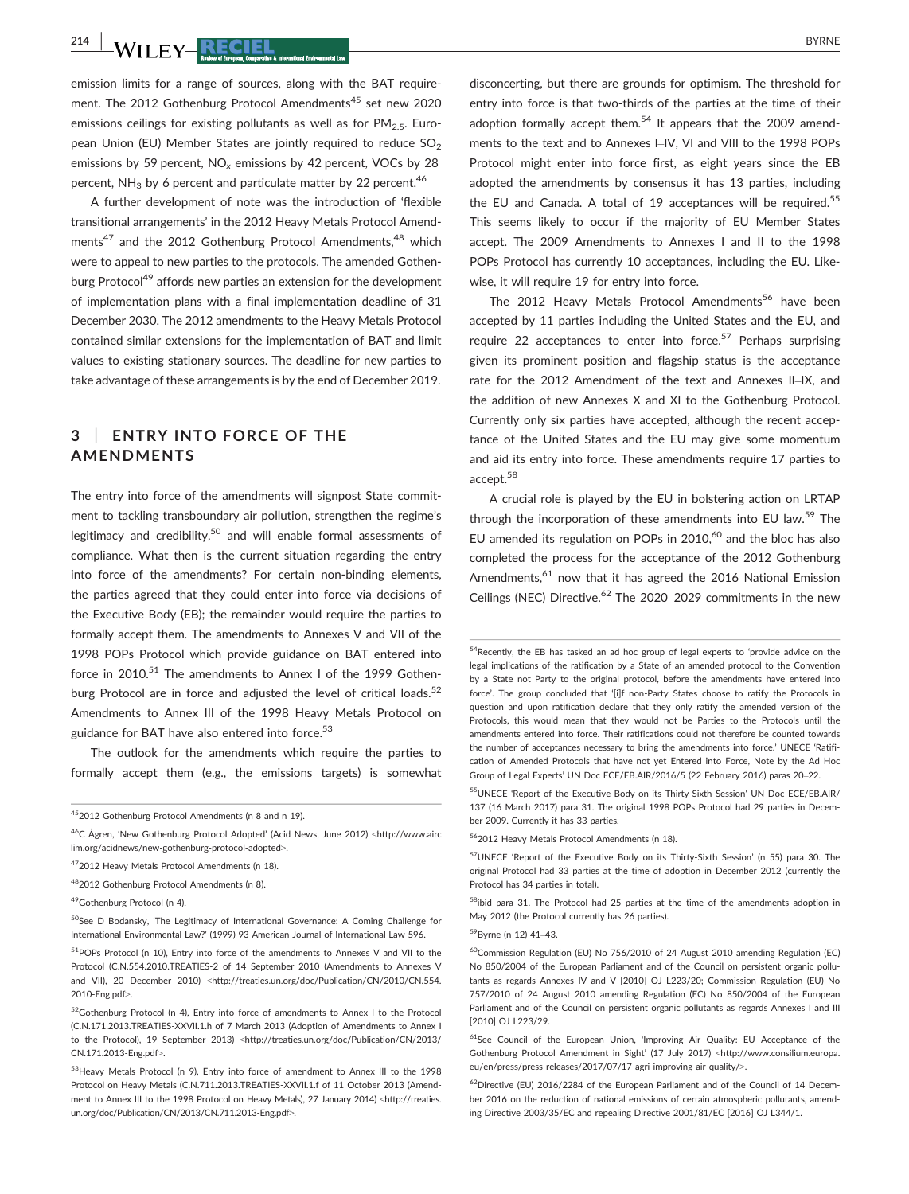$\frac{214}{100}$  WII FY-RECIEL BYRNE

emission limits for a range of sources, along with the BAT requirement. The 2012 Gothenburg Protocol Amendments<sup>45</sup> set new 2020 emissions ceilings for existing pollutants as well as for  $PM<sub>2.5</sub>$ . European Union (EU) Member States are jointly required to reduce  $SO<sub>2</sub>$ emissions by 59 percent,  $NO<sub>x</sub>$  emissions by 42 percent, VOCs by 28 percent,  $NH<sub>3</sub>$  by 6 percent and particulate matter by 22 percent.<sup>46</sup>

A further development of note was the introduction of 'flexible transitional arrangements' in the 2012 Heavy Metals Protocol Amendments<sup>47</sup> and the 2012 Gothenburg Protocol Amendments,<sup>48</sup> which were to appeal to new parties to the protocols. The amended Gothenburg Protocol<sup>49</sup> affords new parties an extension for the development of implementation plans with a final implementation deadline of 31 December 2030. The 2012 amendments to the Heavy Metals Protocol contained similar extensions for the implementation of BAT and limit values to existing stationary sources. The deadline for new parties to take advantage of these arrangements is by the end of December 2019.

## 3 | ENTRY INTO FORCE OF THE AMENDMENTS

The entry into force of the amendments will signpost State commitment to tackling transboundary air pollution, strengthen the regime's legitimacy and credibility,<sup>50</sup> and will enable formal assessments of compliance. What then is the current situation regarding the entry into force of the amendments? For certain non-binding elements, the parties agreed that they could enter into force via decisions of the Executive Body (EB); the remainder would require the parties to formally accept them. The amendments to Annexes V and VII of the 1998 POPs Protocol which provide guidance on BAT entered into force in 2010.<sup>51</sup> The amendments to Annex I of the 1999 Gothenburg Protocol are in force and adjusted the level of critical loads.<sup>52</sup> Amendments to Annex III of the 1998 Heavy Metals Protocol on guidance for BAT have also entered into force.<sup>53</sup>

The outlook for the amendments which require the parties to formally accept them (e.g., the emissions targets) is somewhat

50See D Bodansky, 'The Legitimacy of International Governance: A Coming Challenge for International Environmental Law?' (1999) 93 American Journal of International Law 596.

disconcerting, but there are grounds for optimism. The threshold for entry into force is that two-thirds of the parties at the time of their adoption formally accept them.<sup>54</sup> It appears that the 2009 amendments to the text and to Annexes I–IV, VI and VIII to the 1998 POPs Protocol might enter into force first, as eight years since the EB adopted the amendments by consensus it has 13 parties, including the EU and Canada. A total of 19 acceptances will be required.<sup>55</sup> This seems likely to occur if the majority of EU Member States accept. The 2009 Amendments to Annexes I and II to the 1998 POPs Protocol has currently 10 acceptances, including the EU. Likewise, it will require 19 for entry into force.

The 2012 Heavy Metals Protocol Amendments<sup>56</sup> have been accepted by 11 parties including the United States and the EU, and require 22 acceptances to enter into force.<sup>57</sup> Perhaps surprising given its prominent position and flagship status is the acceptance rate for the 2012 Amendment of the text and Annexes II–IX, and the addition of new Annexes X and XI to the Gothenburg Protocol. Currently only six parties have accepted, although the recent acceptance of the United States and the EU may give some momentum and aid its entry into force. These amendments require 17 parties to accept.58

A crucial role is played by the EU in bolstering action on LRTAP through the incorporation of these amendments into EU law.<sup>59</sup> The EU amended its regulation on POPs in 2010,<sup>60</sup> and the bloc has also completed the process for the acceptance of the 2012 Gothenburg Amendments, <sup>61</sup> now that it has agreed the 2016 National Emission Ceilings (NEC) Directive.<sup>62</sup> The 2020–2029 commitments in the new

55UNECE 'Report of the Executive Body on its Thirty-Sixth Session' UN Doc ECE/EB.AIR/ 137 (16 March 2017) para 31. The original 1998 POPs Protocol had 29 parties in December 2009. Currently it has 33 parties.

562012 Heavy Metals Protocol Amendments (n 18).

<sup>58</sup>ibid para 31. The Protocol had 25 parties at the time of the amendments adoption in May 2012 (the Protocol currently has 26 parties).

#### 59Byrne (n 12) 41–43.

 $^{60}$ Commission Regulation (EU) No 756/2010 of 24 August 2010 amending Regulation (EC) No 850/2004 of the European Parliament and of the Council on persistent organic pollutants as regards Annexes IV and V [2010] OJ L223/20; Commission Regulation (EU) No 757/2010 of 24 August 2010 amending Regulation (EC) No 850/2004 of the European Parliament and of the Council on persistent organic pollutants as regards Annexes I and III [2010] OJ L223/29.

<sup>61</sup>See Council of the European Union, 'Improving Air Quality: EU Acceptance of the Gothenburg Protocol Amendment in Sight' (17 July 2017) <[http://www.consilium.europa.](http://www.consilium.europa.eu/en/press/press-releases/2017/07/17-agri-improving-air-quality/) [eu/en/press/press-releases/2017/07/17-agri-improving-air-quality/](http://www.consilium.europa.eu/en/press/press-releases/2017/07/17-agri-improving-air-quality/)>.

 $^{62}$ Directive (EU) 2016/2284 of the European Parliament and of the Council of 14 December 2016 on the reduction of national emissions of certain atmospheric pollutants, amending Directive 2003/35/EC and repealing Directive 2001/81/EC [2016] OJ L344/1.

<sup>452012</sup> Gothenburg Protocol Amendments (n 8 and n 19).

<sup>46</sup>C Agren, 'New Gothenburg Protocol Adopted' (Acid News, June 2012) <[http://www.airc](http://www.airclim.org/acidnews/2012/AN2-12) [lim.org/acidnews/new-gothenburg-protocol-adopted](http://www.airclim.org/acidnews/2012/AN2-12)>.

<sup>472012</sup> Heavy Metals Protocol Amendments (n 18).

<sup>482012</sup> Gothenburg Protocol Amendments (n 8).

<sup>49</sup>Gothenburg Protocol (n 4).

<sup>51</sup>POPs Protocol (n 10), Entry into force of the amendments to Annexes V and VII to the Protocol (C.N.554.2010.TREATIES-2 of 14 September 2010 (Amendments to Annexes V and VII), 20 December 2010) <[http://treaties.un.org/doc/Publication/CN/2010/CN.554.](http://treaties.un.org/doc/Publication/CN/2010/CN.554.2010-Eng.pdf) [2010-Eng.pdf](http://treaties.un.org/doc/Publication/CN/2010/CN.554.2010-Eng.pdf)>.

<sup>52</sup> Gothenburg Protocol (n 4), Entry into force of amendments to Annex I to the Protocol (C.N.171.2013.TREATIES-XXVII.1.h of 7 March 2013 (Adoption of Amendments to Annex I to the Protocol), 19 September 2013) <[http://treaties.un.org/doc/Publication/CN/2013/](http://treaties.un.org/doc/Publication/CN/2013/CN.171.2013-Eng.pdf) [CN.171.2013-Eng.pdf](http://treaties.un.org/doc/Publication/CN/2013/CN.171.2013-Eng.pdf)>.

<sup>53</sup>Heavy Metals Protocol (n 9), Entry into force of amendment to Annex III to the 1998 Protocol on Heavy Metals (C.N.711.2013.TREATIES-XXVII.1.f of 11 October 2013 (Amendment to Annex III to the 1998 Protocol on Heavy Metals), 27 January 2014) <[http://treaties.](http://treaties.un.org/doc/Publication/CN/2013/CN.711.2013-Eng.pdf) [un.org/doc/Publication/CN/2013/CN.711.2013-Eng.pdf](http://treaties.un.org/doc/Publication/CN/2013/CN.711.2013-Eng.pdf)>.

<sup>&</sup>lt;sup>54</sup>Recently, the EB has tasked an ad hoc group of legal experts to 'provide advice on the legal implications of the ratification by a State of an amended protocol to the Convention by a State not Party to the original protocol, before the amendments have entered into force'. The group concluded that '[i]f non-Party States choose to ratify the Protocols in question and upon ratification declare that they only ratify the amended version of the Protocols, this would mean that they would not be Parties to the Protocols until the amendments entered into force. Their ratifications could not therefore be counted towards the number of acceptances necessary to bring the amendments into force.' UNECE 'Ratification of Amended Protocols that have not yet Entered into Force, Note by the Ad Hoc Group of Legal Experts' UN Doc ECE/EB.AIR/2016/5 (22 February 2016) paras 20–22.

<sup>57</sup>UNECE 'Report of the Executive Body on its Thirty-Sixth Session' (n 55) para 30. The original Protocol had 33 parties at the time of adoption in December 2012 (currently the Protocol has 34 parties in total).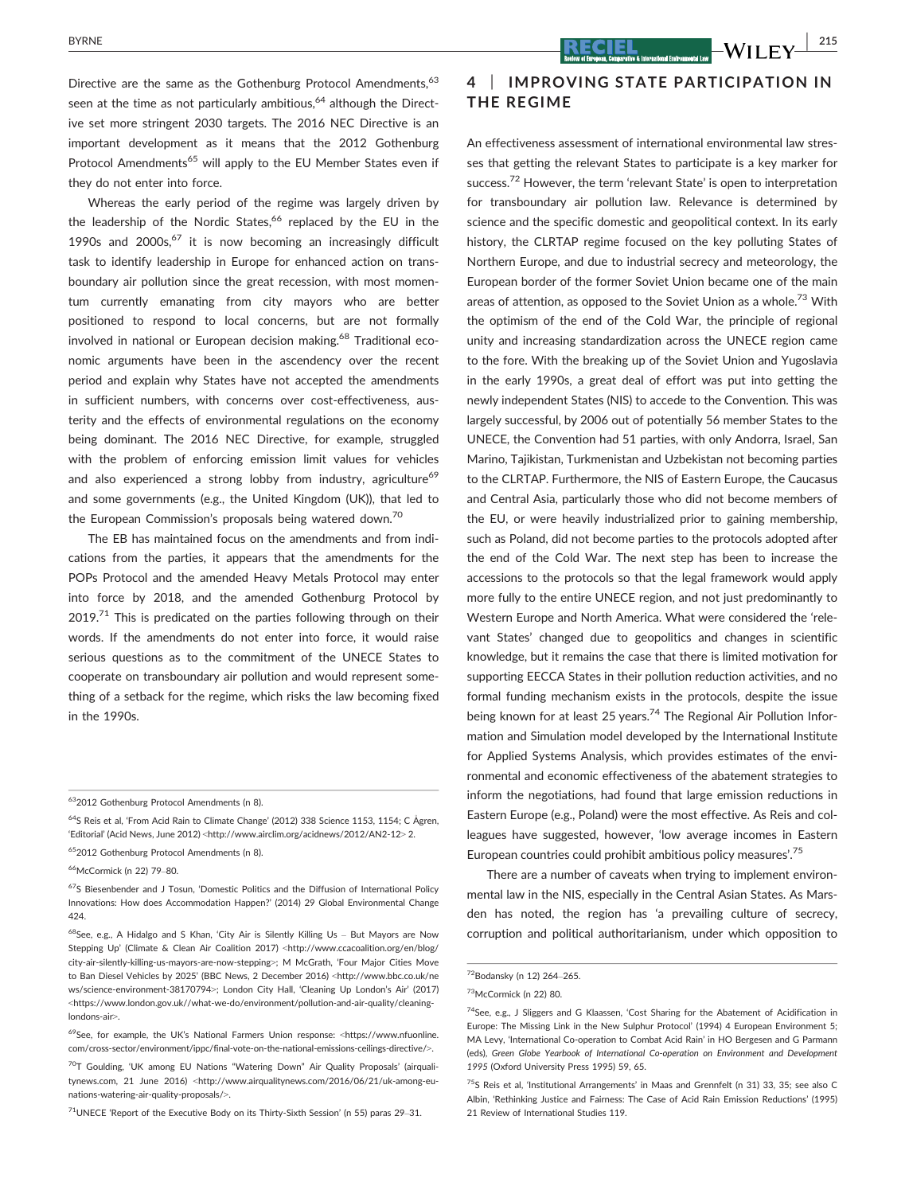Directive are the same as the Gothenburg Protocol Amendments,<sup>63</sup> seen at the time as not particularly ambitious, $64$  although the Directive set more stringent 2030 targets. The 2016 NEC Directive is an important development as it means that the 2012 Gothenburg Protocol Amendments<sup>65</sup> will apply to the EU Member States even if they do not enter into force.

Whereas the early period of the regime was largely driven by the leadership of the Nordic States,<sup>66</sup> replaced by the EU in the 1990s and 2000s, $67$  it is now becoming an increasingly difficult task to identify leadership in Europe for enhanced action on transboundary air pollution since the great recession, with most momentum currently emanating from city mayors who are better positioned to respond to local concerns, but are not formally involved in national or European decision making.<sup>68</sup> Traditional economic arguments have been in the ascendency over the recent period and explain why States have not accepted the amendments in sufficient numbers, with concerns over cost-effectiveness, austerity and the effects of environmental regulations on the economy being dominant. The 2016 NEC Directive, for example, struggled with the problem of enforcing emission limit values for vehicles and also experienced a strong lobby from industry, agriculture<sup>69</sup> and some governments (e.g., the United Kingdom (UK)), that led to the European Commission's proposals being watered down.<sup>70</sup>

The EB has maintained focus on the amendments and from indications from the parties, it appears that the amendments for the POPs Protocol and the amended Heavy Metals Protocol may enter into force by 2018, and the amended Gothenburg Protocol by  $2019<sup>71</sup>$  This is predicated on the parties following through on their words. If the amendments do not enter into force, it would raise serious questions as to the commitment of the UNECE States to cooperate on transboundary air pollution and would represent something of a setback for the regime, which risks the law becoming fixed in the 1990s.

652012 Gothenburg Protocol Amendments (n 8).

 $71$ UNECE 'Report of the Executive Body on its Thirty-Sixth Session' (n 55) paras 29-31.

## 4 | IMPROVING STATE PARTICIPATION IN THE REGIME

An effectiveness assessment of international environmental law stresses that getting the relevant States to participate is a key marker for success.<sup>72</sup> However, the term 'relevant State' is open to interpretation for transboundary air pollution law. Relevance is determined by science and the specific domestic and geopolitical context. In its early history, the CLRTAP regime focused on the key polluting States of Northern Europe, and due to industrial secrecy and meteorology, the European border of the former Soviet Union became one of the main areas of attention, as opposed to the Soviet Union as a whole.<sup>73</sup> With the optimism of the end of the Cold War, the principle of regional unity and increasing standardization across the UNECE region came to the fore. With the breaking up of the Soviet Union and Yugoslavia in the early 1990s, a great deal of effort was put into getting the newly independent States (NIS) to accede to the Convention. This was largely successful, by 2006 out of potentially 56 member States to the UNECE, the Convention had 51 parties, with only Andorra, Israel, San Marino, Tajikistan, Turkmenistan and Uzbekistan not becoming parties to the CLRTAP. Furthermore, the NIS of Eastern Europe, the Caucasus and Central Asia, particularly those who did not become members of the EU, or were heavily industrialized prior to gaining membership, such as Poland, did not become parties to the protocols adopted after the end of the Cold War. The next step has been to increase the accessions to the protocols so that the legal framework would apply more fully to the entire UNECE region, and not just predominantly to Western Europe and North America. What were considered the 'relevant States' changed due to geopolitics and changes in scientific knowledge, but it remains the case that there is limited motivation for supporting EECCA States in their pollution reduction activities, and no formal funding mechanism exists in the protocols, despite the issue being known for at least 25 years.<sup>74</sup> The Regional Air Pollution Information and Simulation model developed by the International Institute for Applied Systems Analysis, which provides estimates of the environmental and economic effectiveness of the abatement strategies to inform the negotiations, had found that large emission reductions in Eastern Europe (e.g., Poland) were the most effective. As Reis and colleagues have suggested, however, 'low average incomes in Eastern European countries could prohibit ambitious policy measures'.<sup>75</sup>

There are a number of caveats when trying to implement environmental law in the NIS, especially in the Central Asian States. As Marsden has noted, the region has 'a prevailing culture of secrecy, corruption and political authoritarianism, under which opposition to

<sup>632012</sup> Gothenburg Protocol Amendments (n 8).

<sup>&</sup>lt;sup>64</sup>S Reis et al, 'From Acid Rain to Climate Change' (2012) 338 Science 1153, 1154; C Ågren, 'Editorial' (Acid News, June 2012) <<http://www.airclim.org/acidnews/2012/AN2-12>> 2.

<sup>66</sup>McCormick (n 22) 79–80.

 $67$ S Biesenbender and J Tosun, 'Domestic Politics and the Diffusion of International Policy Innovations: How does Accommodation Happen?' (2014) 29 Global Environmental Change 424.

<sup>&</sup>lt;sup>68</sup>See, e.g., A Hidalgo and S Khan, 'City Air is Silently Killing Us - But Mayors are Now Stepping Up' (Climate & Clean Air Coalition 2017) <[http://www.ccacoalition.org/en/blog/](http://www.ccacoalition.org/en/blog/city-air-silently-killing-us-mayors-are-now-stepping) [city-air-silently-killing-us-mayors-are-now-stepping](http://www.ccacoalition.org/en/blog/city-air-silently-killing-us-mayors-are-now-stepping)>; M McGrath, 'Four Major Cities Move to Ban Diesel Vehicles by 2025' (BBC News, 2 December 2016) <[http://www.bbc.co.uk/ne](http://www.bbc.co.uk/news/science-environment-38170794) [ws/science-environment-38170794](http://www.bbc.co.uk/news/science-environment-38170794)>; London City Hall, 'Cleaning Up London's Air' (2017) <[https://www.london.gov.uk//what-we-do/environment/pollution-and-air-quality/cleaning](https://www.london.gov.uk//what-we-do/environment/pollution-and-air-quality/cleaning-londons-air)[londons-air](https://www.london.gov.uk//what-we-do/environment/pollution-and-air-quality/cleaning-londons-air)>.

<sup>69</sup>See, for example, the UK's National Farmers Union response: <[https://www.nfuonline.](https://www.nfuonline.com/cross-sector/environment/ippc/final-vote-on-the-national-emissions-ceilings-directive/) [com/cross-sector/environment/ippc/final-vote-on-the-national-emissions-ceilings-directive/](https://www.nfuonline.com/cross-sector/environment/ippc/final-vote-on-the-national-emissions-ceilings-directive/)>.

<sup>&</sup>lt;sup>70</sup>T Goulding, 'UK among EU Nations "Watering Down" Air Quality Proposals' (airqualitynews.com, 21 June 2016) <[http://www.airqualitynews.com/2016/06/21/uk-among-eu](http://www.airqualitynews.com/2016/06/21/uk-among-eu-nations-watering-air-quality-proposals/)[nations-watering-air-quality-proposals/](http://www.airqualitynews.com/2016/06/21/uk-among-eu-nations-watering-air-quality-proposals/)>.

<sup>72</sup>Bodansky (n 12) 264–265.

<sup>73</sup>McCormick (n 22) 80.

<sup>74</sup>See, e.g., J Sliggers and G Klaassen, 'Cost Sharing for the Abatement of Acidification in Europe: The Missing Link in the New Sulphur Protocol' (1994) 4 European Environment 5; MA Levy, 'International Co-operation to Combat Acid Rain' in HO Bergesen and G Parmann (eds), Green Globe Yearbook of International Co-operation on Environment and Development 1995 (Oxford University Press 1995) 59, 65.

<sup>&</sup>lt;sup>75</sup>S Reis et al, 'Institutional Arrangements' in Maas and Grennfelt (n 31) 33, 35; see also C Albin, 'Rethinking Justice and Fairness: The Case of Acid Rain Emission Reductions' (1995) 21 Review of International Studies 119.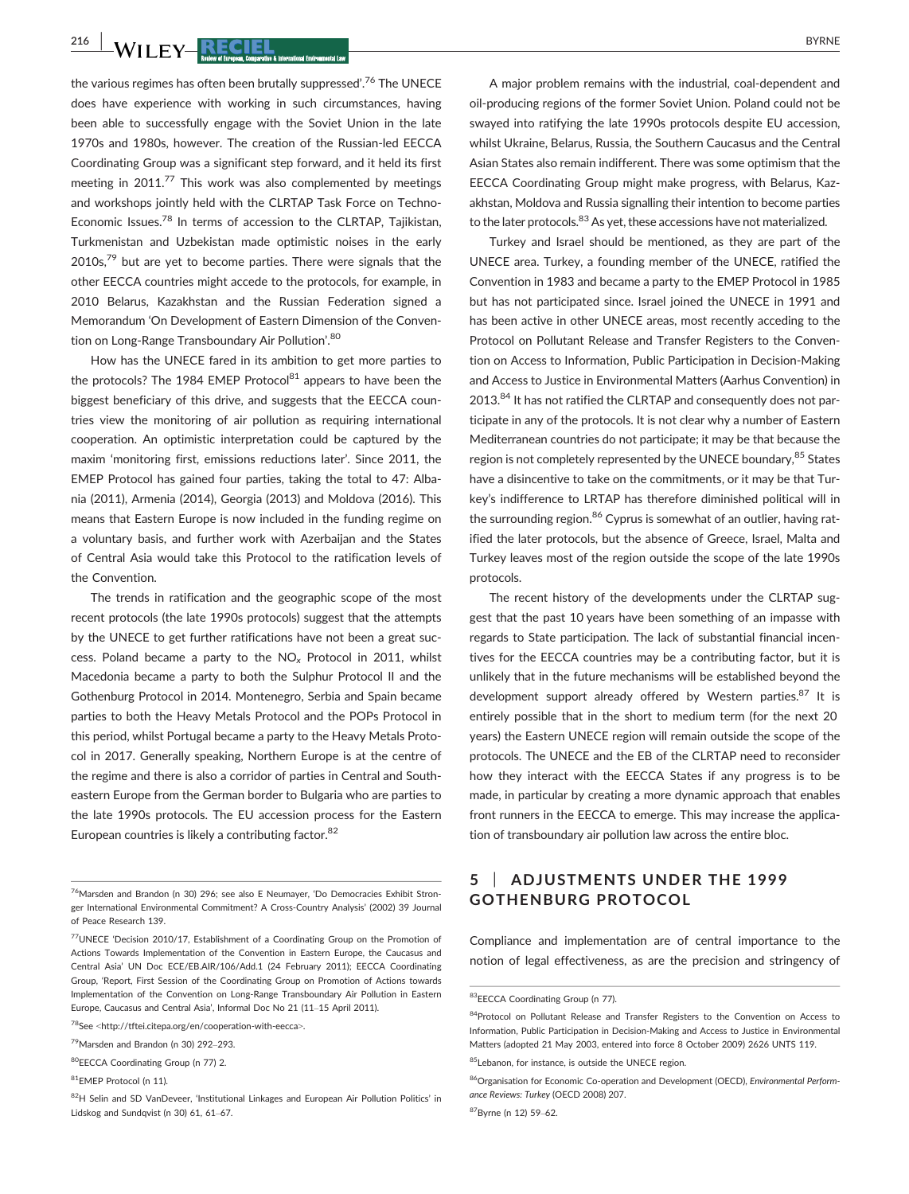$\frac{216}{100}$  WII FY-RECIEL BYRNE

the various regimes has often been brutally suppressed'. <sup>76</sup> The UNECE does have experience with working in such circumstances, having been able to successfully engage with the Soviet Union in the late 1970s and 1980s, however. The creation of the Russian-led EECCA Coordinating Group was a significant step forward, and it held its first meeting in 2011.<sup>77</sup> This work was also complemented by meetings and workshops jointly held with the CLRTAP Task Force on Techno-Economic Issues.78 In terms of accession to the CLRTAP, Tajikistan, Turkmenistan and Uzbekistan made optimistic noises in the early  $2010s$ ,<sup>79</sup> but are yet to become parties. There were signals that the other EECCA countries might accede to the protocols, for example, in 2010 Belarus, Kazakhstan and the Russian Federation signed a Memorandum 'On Development of Eastern Dimension of the Convention on Long-Range Transboundary Air Pollution'. 80

How has the UNECE fared in its ambition to get more parties to the protocols? The 1984 EMEP Protocol $^{81}$  appears to have been the biggest beneficiary of this drive, and suggests that the EECCA countries view the monitoring of air pollution as requiring international cooperation. An optimistic interpretation could be captured by the maxim 'monitoring first, emissions reductions later'. Since 2011, the EMEP Protocol has gained four parties, taking the total to 47: Albania (2011), Armenia (2014), Georgia (2013) and Moldova (2016). This means that Eastern Europe is now included in the funding regime on a voluntary basis, and further work with Azerbaijan and the States of Central Asia would take this Protocol to the ratification levels of the Convention.

The trends in ratification and the geographic scope of the most recent protocols (the late 1990s protocols) suggest that the attempts by the UNECE to get further ratifications have not been a great success. Poland became a party to the  $NO<sub>x</sub>$  Protocol in 2011, whilst Macedonia became a party to both the Sulphur Protocol II and the Gothenburg Protocol in 2014. Montenegro, Serbia and Spain became parties to both the Heavy Metals Protocol and the POPs Protocol in this period, whilst Portugal became a party to the Heavy Metals Protocol in 2017. Generally speaking, Northern Europe is at the centre of the regime and there is also a corridor of parties in Central and Southeastern Europe from the German border to Bulgaria who are parties to the late 1990s protocols. The EU accession process for the Eastern European countries is likely a contributing factor.<sup>82</sup>

A major problem remains with the industrial, coal-dependent and oil-producing regions of the former Soviet Union. Poland could not be swayed into ratifying the late 1990s protocols despite EU accession, whilst Ukraine, Belarus, Russia, the Southern Caucasus and the Central Asian States also remain indifferent. There was some optimism that the EECCA Coordinating Group might make progress, with Belarus, Kazakhstan, Moldova and Russia signalling their intention to become parties to the later protocols.<sup>83</sup> As yet, these accessions have not materialized.

Turkey and Israel should be mentioned, as they are part of the UNECE area. Turkey, a founding member of the UNECE, ratified the Convention in 1983 and became a party to the EMEP Protocol in 1985 but has not participated since. Israel joined the UNECE in 1991 and has been active in other UNECE areas, most recently acceding to the Protocol on Pollutant Release and Transfer Registers to the Convention on Access to Information, Public Participation in Decision-Making and Access to Justice in Environmental Matters (Aarhus Convention) in 2013.<sup>84</sup> It has not ratified the CLRTAP and consequently does not participate in any of the protocols. It is not clear why a number of Eastern Mediterranean countries do not participate; it may be that because the region is not completely represented by the UNECE boundary, <sup>85</sup> States have a disincentive to take on the commitments, or it may be that Turkey's indifference to LRTAP has therefore diminished political will in the surrounding region.<sup>86</sup> Cyprus is somewhat of an outlier, having ratified the later protocols, but the absence of Greece, Israel, Malta and Turkey leaves most of the region outside the scope of the late 1990s protocols.

The recent history of the developments under the CLRTAP suggest that the past 10 years have been something of an impasse with regards to State participation. The lack of substantial financial incentives for the EECCA countries may be a contributing factor, but it is unlikely that in the future mechanisms will be established beyond the development support already offered by Western parties.<sup>87</sup> It is entirely possible that in the short to medium term (for the next 20 years) the Eastern UNECE region will remain outside the scope of the protocols. The UNECE and the EB of the CLRTAP need to reconsider how they interact with the EECCA States if any progress is to be made, in particular by creating a more dynamic approach that enables front runners in the EECCA to emerge. This may increase the application of transboundary air pollution law across the entire bloc.

#### 5 | ADJUSTMENTS UNDER THE 1999 GOTHENBURG PROTOCOL

Compliance and implementation are of central importance to the notion of legal effectiveness, as are the precision and stringency of

<sup>76</sup>Marsden and Brandon (n 30) 296; see also E Neumayer, 'Do Democracies Exhibit Stronger International Environmental Commitment? A Cross-Country Analysis' (2002) 39 Journal of Peace Research 139.

<sup>77</sup>UNECE 'Decision 2010/17, Establishment of a Coordinating Group on the Promotion of Actions Towards Implementation of the Convention in Eastern Europe, the Caucasus and Central Asia' UN Doc ECE/EB.AIR/106/Add.1 (24 February 2011); EECCA Coordinating Group, 'Report, First Session of the Coordinating Group on Promotion of Actions towards Implementation of the Convention on Long-Range Transboundary Air Pollution in Eastern Europe, Caucasus and Central Asia', Informal Doc No 21 (11–15 April 2011).

<sup>78</sup>See <<http://tftei.citepa.org/en/cooperation-with-eecca>>.

<sup>79</sup>Marsden and Brandon (n 30) 292–293.

<sup>80</sup>EECCA Coordinating Group (n 77) 2.

<sup>81</sup>EMEP Protocol (n 11).

<sup>82</sup>H Selin and SD VanDeveer, 'Institutional Linkages and European Air Pollution Politics' in Lidskog and Sundqvist (n 30) 61, 61–67.

<sup>83</sup>EECCA Coordinating Group (n 77).

<sup>84</sup>Protocol on Pollutant Release and Transfer Registers to the Convention on Access to Information, Public Participation in Decision-Making and Access to Justice in Environmental Matters (adopted 21 May 2003, entered into force 8 October 2009) 2626 UNTS 119.

<sup>85</sup>Lebanon, for instance, is outside the UNECE region.

<sup>86</sup>Organisation for Economic Co-operation and Development (OECD), Environmental Performance Reviews: Turkey (OECD 2008) 207.

<sup>87</sup>Byrne (n 12) 59–62.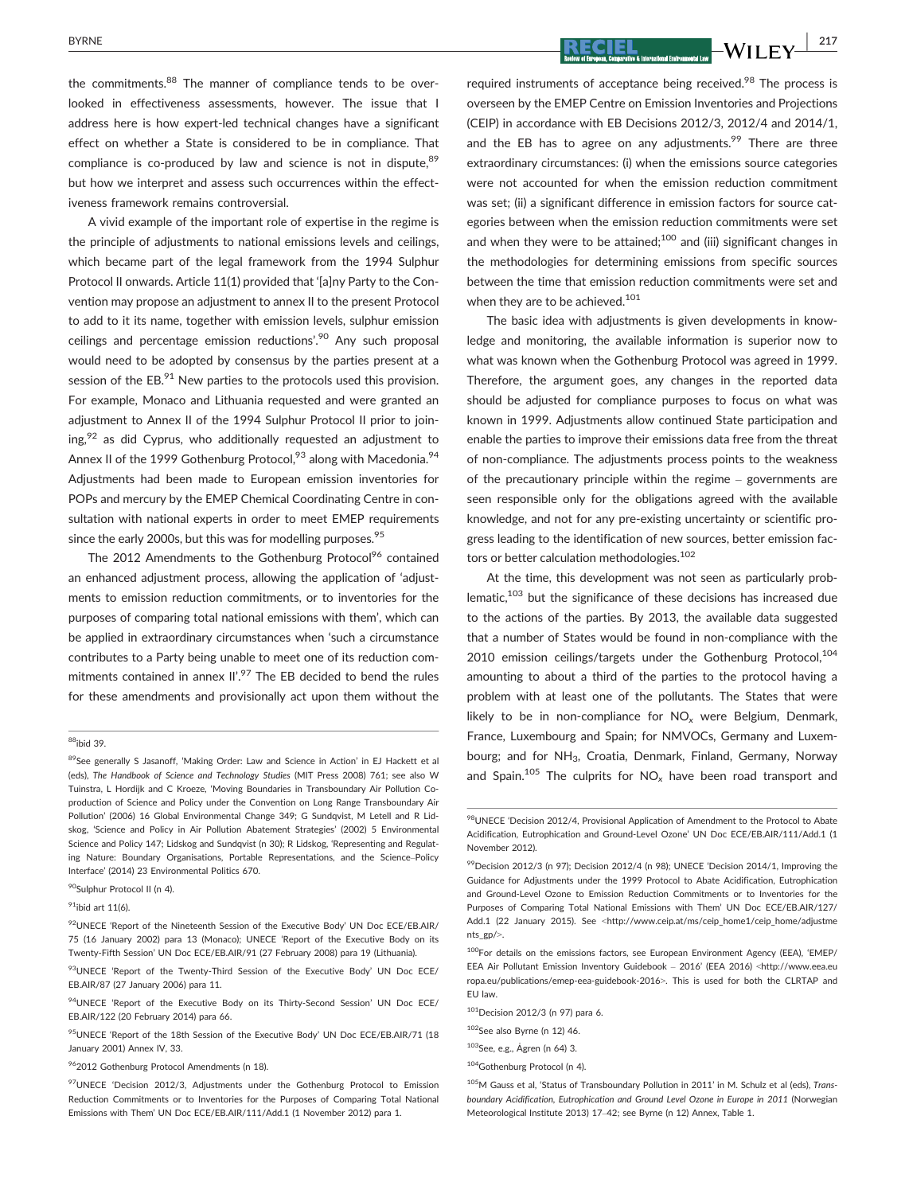$BYRNE$   $-WII$   $FY$   $217$ 

the commitments.<sup>88</sup> The manner of compliance tends to be overlooked in effectiveness assessments, however. The issue that I address here is how expert-led technical changes have a significant effect on whether a State is considered to be in compliance. That compliance is co-produced by law and science is not in dispute.<sup>89</sup> but how we interpret and assess such occurrences within the effectiveness framework remains controversial.

A vivid example of the important role of expertise in the regime is the principle of adjustments to national emissions levels and ceilings, which became part of the legal framework from the 1994 Sulphur Protocol II onwards. Article 11(1) provided that '[a]ny Party to the Convention may propose an adjustment to annex II to the present Protocol to add to it its name, together with emission levels, sulphur emission ceilings and percentage emission reductions'. <sup>90</sup> Any such proposal would need to be adopted by consensus by the parties present at a session of the  $EB$ <sup>91</sup> New parties to the protocols used this provision. For example, Monaco and Lithuania requested and were granted an adjustment to Annex II of the 1994 Sulphur Protocol II prior to join $ing<sub>1</sub><sup>92</sup>$  as did Cyprus, who additionally requested an adjustment to Annex II of the 1999 Gothenburg Protocol,<sup>93</sup> along with Macedonia.<sup>94</sup> Adjustments had been made to European emission inventories for POPs and mercury by the EMEP Chemical Coordinating Centre in consultation with national experts in order to meet EMEP requirements since the early 2000s, but this was for modelling purposes.<sup>95</sup>

The 2012 Amendments to the Gothenburg Protocol<sup>96</sup> contained an enhanced adjustment process, allowing the application of 'adjustments to emission reduction commitments, or to inventories for the purposes of comparing total national emissions with them', which can be applied in extraordinary circumstances when 'such a circumstance contributes to a Party being unable to meet one of its reduction commitments contained in annex II'.<sup>97</sup> The EB decided to bend the rules for these amendments and provisionally act upon them without the

#### 88ibid 39.

90Sulphur Protocol II (n 4).

 $91$ ibid art 11(6).

<sup>95</sup>UNECE 'Report of the 18th Session of the Executive Body' UN Doc ECE/EB.AIR/71 (18 January 2001) Annex IV, 33.

962012 Gothenburg Protocol Amendments (n 18).

required instruments of acceptance being received.<sup>98</sup> The process is overseen by the EMEP Centre on Emission Inventories and Projections (CEIP) in accordance with EB Decisions 2012/3, 2012/4 and 2014/1, and the EB has to agree on any adjustments.<sup>99</sup> There are three extraordinary circumstances: (i) when the emissions source categories were not accounted for when the emission reduction commitment was set; (ii) a significant difference in emission factors for source categories between when the emission reduction commitments were set and when they were to be attained; $100$  and (iii) significant changes in the methodologies for determining emissions from specific sources between the time that emission reduction commitments were set and when they are to be achieved.<sup>101</sup>

The basic idea with adjustments is given developments in knowledge and monitoring, the available information is superior now to what was known when the Gothenburg Protocol was agreed in 1999. Therefore, the argument goes, any changes in the reported data should be adjusted for compliance purposes to focus on what was known in 1999. Adjustments allow continued State participation and enable the parties to improve their emissions data free from the threat of non-compliance. The adjustments process points to the weakness of the precautionary principle within the regime – governments are seen responsible only for the obligations agreed with the available knowledge, and not for any pre-existing uncertainty or scientific progress leading to the identification of new sources, better emission factors or better calculation methodologies.<sup>102</sup>

At the time, this development was not seen as particularly problematic, $103$  but the significance of these decisions has increased due to the actions of the parties. By 2013, the available data suggested that a number of States would be found in non-compliance with the 2010 emission ceilings/targets under the Gothenburg Protocol,<sup>104</sup> amounting to about a third of the parties to the protocol having a problem with at least one of the pollutants. The States that were likely to be in non-compliance for NO<sub>y</sub> were Belgium, Denmark, France, Luxembourg and Spain; for NMVOCs, Germany and Luxembourg; and for NH<sub>3</sub>, Croatia, Denmark, Finland, Germany, Norway and Spain.<sup>105</sup> The culprits for  $NO<sub>x</sub>$  have been road transport and

100For details on the emissions factors, see European Environment Agency (EEA), 'EMEP/ EEA Air Pollutant Emission Inventory Guidebook – 2016' (EEA 2016) <[http://www.eea.eu](http://www.eea.europa.eu/publications/emep-eea-guidebook-2016) [ropa.eu/publications/emep-eea-guidebook-2016](http://www.eea.europa.eu/publications/emep-eea-guidebook-2016)>. This is used for both the CLRTAP and EU law.

 $102$ See also Byrne (n 12) 46.

104Gothenburg Protocol (n 4).

105M Gauss et al, 'Status of Transboundary Pollution in 2011' in M. Schulz et al (eds), Transboundary Acidification, Eutrophication and Ground Level Ozone in Europe in 2011 (Norwegian Meteorological Institute 2013) 17–42; see Byrne (n 12) Annex, Table 1.

<sup>89</sup>See generally S Jasanoff, 'Making Order: Law and Science in Action' in EJ Hackett et al (eds), The Handbook of Science and Technology Studies (MIT Press 2008) 761; see also W Tuinstra, L Hordijk and C Kroeze, 'Moving Boundaries in Transboundary Air Pollution Coproduction of Science and Policy under the Convention on Long Range Transboundary Air Pollution' (2006) 16 Global Environmental Change 349; G Sundqvist, M Letell and R Lidskog, 'Science and Policy in Air Pollution Abatement Strategies' (2002) 5 Environmental Science and Policy 147; Lidskog and Sundqvist (n 30); R Lidskog, 'Representing and Regulating Nature: Boundary Organisations, Portable Representations, and the Science–Policy Interface' (2014) 23 Environmental Politics 670.

<sup>92</sup>UNECE 'Report of the Nineteenth Session of the Executive Body' UN Doc ECE/EB.AIR/ 75 (16 January 2002) para 13 (Monaco); UNECE 'Report of the Executive Body on its Twenty-Fifth Session' UN Doc ECE/EB.AIR/91 (27 February 2008) para 19 (Lithuania).

<sup>93</sup>UNECE 'Report of the Twenty-Third Session of the Executive Body' UN Doc ECE/ EB.AIR/87 (27 January 2006) para 11.

<sup>&</sup>lt;sup>94</sup>UNECE 'Report of the Executive Body on its Thirty-Second Session' UN Doc ECE/ EB.AIR/122 (20 February 2014) para 66.

<sup>97</sup>UNECE 'Decision 2012/3, Adjustments under the Gothenburg Protocol to Emission Reduction Commitments or to Inventories for the Purposes of Comparing Total National Emissions with Them' UN Doc ECE/EB.AIR/111/Add.1 (1 November 2012) para 1.

<sup>98</sup>UNECE 'Decision 2012/4, Provisional Application of Amendment to the Protocol to Abate Acidification, Eutrophication and Ground-Level Ozone' UN Doc ECE/EB.AIR/111/Add.1 (1 November 2012).

 $99$ Decision 2012/3 (n 97); Decision 2012/4 (n 98); UNECE 'Decision 2014/1, Improving the Guidance for Adjustments under the 1999 Protocol to Abate Acidification, Eutrophication and Ground-Level Ozone to Emission Reduction Commitments or to Inventories for the Purposes of Comparing Total National Emissions with Them' UN Doc ECE/EB.AIR/127/ Add.1 (22 January 2015). See <[http://www.ceip.at/ms/ceip\\_home1/ceip\\_home/adjustme](http://www.ceip.at/ms/ceip_home1/ceip_home/adjustments_gp/) [nts\\_gp/](http://www.ceip.at/ms/ceip_home1/ceip_home/adjustments_gp/)>.

<sup>101</sup>Decision 2012/3 (n 97) para 6.

<sup>103</sup>See, e.g., Agren (n 64) 3.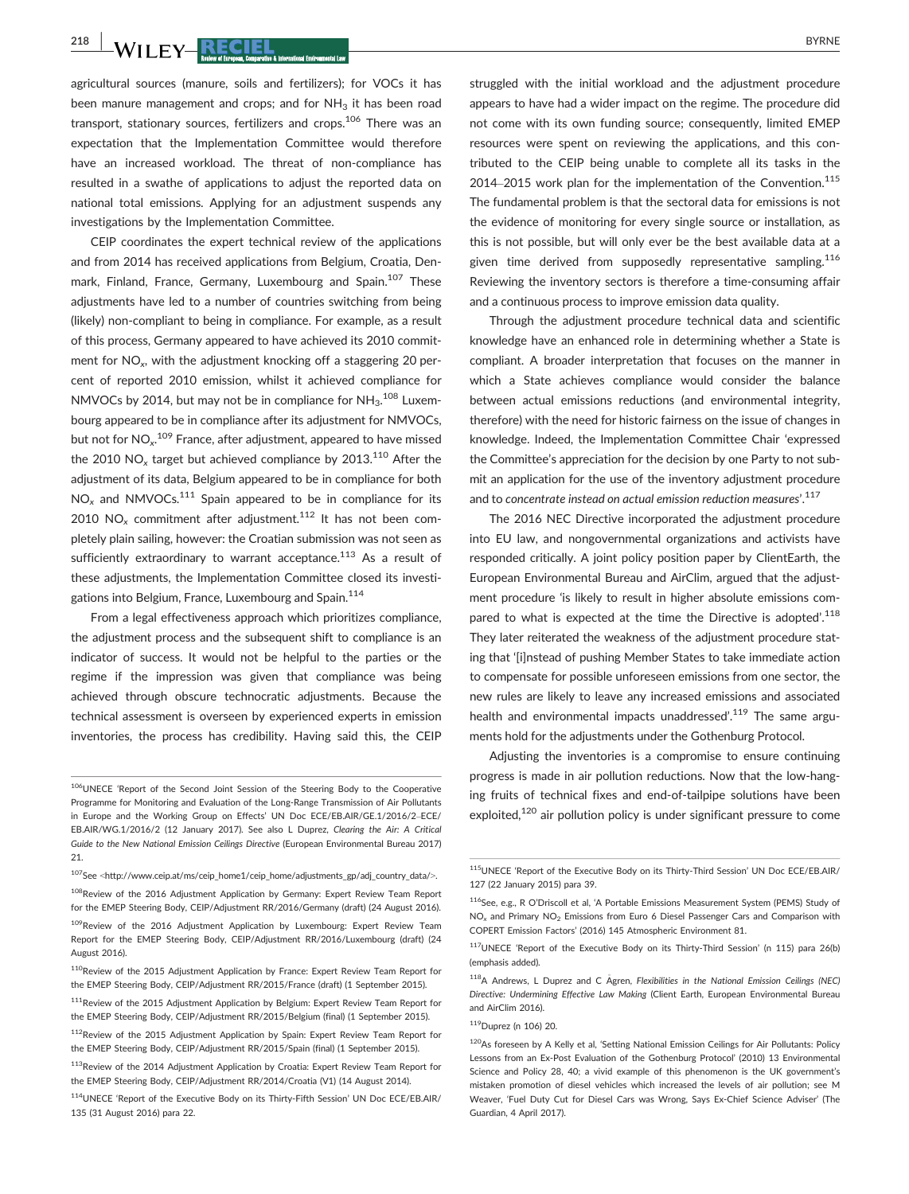$\frac{218}{100}$  WII FY-RECIEL  $\frac{1218}{100}$  BYRNE

agricultural sources (manure, soils and fertilizers); for VOCs it has been manure management and crops; and for  $NH<sub>3</sub>$  it has been road transport, stationary sources, fertilizers and crops.<sup>106</sup> There was an expectation that the Implementation Committee would therefore have an increased workload. The threat of non-compliance has resulted in a swathe of applications to adjust the reported data on national total emissions. Applying for an adjustment suspends any investigations by the Implementation Committee.

CEIP coordinates the expert technical review of the applications and from 2014 has received applications from Belgium, Croatia, Denmark, Finland, France, Germany, Luxembourg and Spain.<sup>107</sup> These adjustments have led to a number of countries switching from being (likely) non-compliant to being in compliance. For example, as a result of this process, Germany appeared to have achieved its 2010 commitment for  $NO<sub>x</sub>$ , with the adjustment knocking off a staggering 20 percent of reported 2010 emission, whilst it achieved compliance for NMVOCs by 2014, but may not be in compliance for  $NH_3$ .<sup>108</sup> Luxembourg appeared to be in compliance after its adjustment for NMVOCs, but not for  $\mathsf{NO}_{\mathsf{x}}^{109}$  France, after adjustment, appeared to have missed the 2010 NO<sub>x</sub> target but achieved compliance by 2013.<sup>110</sup> After the adjustment of its data, Belgium appeared to be in compliance for both  $NO<sub>x</sub>$  and NMVOCs.<sup>111</sup> Spain appeared to be in compliance for its 2010 NO<sub>x</sub> commitment after adjustment.<sup>112</sup> It has not been completely plain sailing, however: the Croatian submission was not seen as sufficiently extraordinary to warrant acceptance.<sup>113</sup> As a result of these adjustments, the Implementation Committee closed its investigations into Belgium, France, Luxembourg and Spain.<sup>114</sup>

From a legal effectiveness approach which prioritizes compliance, the adjustment process and the subsequent shift to compliance is an indicator of success. It would not be helpful to the parties or the regime if the impression was given that compliance was being achieved through obscure technocratic adjustments. Because the technical assessment is overseen by experienced experts in emission inventories, the process has credibility. Having said this, the CEIP

struggled with the initial workload and the adjustment procedure appears to have had a wider impact on the regime. The procedure did not come with its own funding source; consequently, limited EMEP resources were spent on reviewing the applications, and this contributed to the CEIP being unable to complete all its tasks in the 2014–2015 work plan for the implementation of the Convention.<sup>115</sup> The fundamental problem is that the sectoral data for emissions is not the evidence of monitoring for every single source or installation, as this is not possible, but will only ever be the best available data at a given time derived from supposedly representative sampling.<sup>116</sup> Reviewing the inventory sectors is therefore a time-consuming affair and a continuous process to improve emission data quality.

Through the adjustment procedure technical data and scientific knowledge have an enhanced role in determining whether a State is compliant. A broader interpretation that focuses on the manner in which a State achieves compliance would consider the balance between actual emissions reductions (and environmental integrity, therefore) with the need for historic fairness on the issue of changes in knowledge. Indeed, the Implementation Committee Chair 'expressed the Committee's appreciation for the decision by one Party to not submit an application for the use of the inventory adjustment procedure and to concentrate instead on actual emission reduction measures'.<sup>117</sup>

The 2016 NEC Directive incorporated the adjustment procedure into EU law, and nongovernmental organizations and activists have responded critically. A joint policy position paper by ClientEarth, the European Environmental Bureau and AirClim, argued that the adjustment procedure 'is likely to result in higher absolute emissions compared to what is expected at the time the Directive is adopted'.<sup>118</sup> They later reiterated the weakness of the adjustment procedure stating that '[i]nstead of pushing Member States to take immediate action to compensate for possible unforeseen emissions from one sector, the new rules are likely to leave any increased emissions and associated health and environmental impacts unaddressed'.<sup>119</sup> The same arguments hold for the adjustments under the Gothenburg Protocol.

Adjusting the inventories is a compromise to ensure continuing progress is made in air pollution reductions. Now that the low-hanging fruits of technical fixes and end-of-tailpipe solutions have been exploited,<sup>120</sup> air pollution policy is under significant pressure to come

<sup>106</sup>UNECE 'Report of the Second Joint Session of the Steering Body to the Cooperative Programme for Monitoring and Evaluation of the Long-Range Transmission of Air Pollutants in Europe and the Working Group on Effects' UN Doc ECE/EB.AIR/GE.1/2016/2–ECE/ EB.AIR/WG.1/2016/2 (12 January 2017). See also L Duprez, Clearing the Air: A Critical Guide to the New National Emission Ceilings Directive (European Environmental Bureau 2017) 21.

 $107$ See <[http://www.ceip.at/ms/ceip\\_home1/ceip\\_home/adjustments\\_gp/adj\\_country\\_data/](http://www.ceip.at/ms/ceip_home1/ceip_home/adjustments_gp/adj_country_data/)>.

<sup>&</sup>lt;sup>108</sup>Review of the 2016 Adjustment Application by Germany: Expert Review Team Report for the EMEP Steering Body, CEIP/Adjustment RR/2016/Germany (draft) (24 August 2016).

<sup>109</sup> Review of the 2016 Adjustment Application by Luxembourg: Expert Review Team Report for the EMEP Steering Body, CEIP/Adjustment RR/2016/Luxembourg (draft) (24 August 2016).

<sup>110</sup>Review of the 2015 Adjustment Application by France: Expert Review Team Report for the EMEP Steering Body, CEIP/Adjustment RR/2015/France (draft) (1 September 2015).

<sup>&</sup>lt;sup>111</sup>Review of the 2015 Adjustment Application by Belgium: Expert Review Team Report for the EMEP Steering Body, CEIP/Adjustment RR/2015/Belgium (final) (1 September 2015).

<sup>112</sup>Review of the 2015 Adjustment Application by Spain: Expert Review Team Report for the EMEP Steering Body, CEIP/Adjustment RR/2015/Spain (final) (1 September 2015).

<sup>113</sup>Review of the 2014 Adjustment Application by Croatia: Expert Review Team Report for the EMEP Steering Body, CEIP/Adjustment RR/2014/Croatia (V1) (14 August 2014).

<sup>114</sup>UNECE 'Report of the Executive Body on its Thirty-Fifth Session' UN Doc ECE/EB.AIR/ 135 (31 August 2016) para 22.

<sup>115</sup>UNECE 'Report of the Executive Body on its Thirty-Third Session' UN Doc ECE/EB.AIR/ 127 (22 January 2015) para 39.

<sup>116</sup>See, e.g., R O'Driscoll et al, 'A Portable Emissions Measurement System (PEMS) Study of NO<sup>x</sup> and Primary NO2 Emissions from Euro 6 Diesel Passenger Cars and Comparison with COPERT Emission Factors' (2016) 145 Atmospheric Environment 81.

<sup>117</sup>UNECE 'Report of the Executive Body on its Thirty-Third Session' (n 115) para 26(b) (emphasis added).

 $118A$  Andrews, L Duprez and C Ågren, Flexibilities in the National Emission Ceilings (NEC) Directive: Undermining Effective Law Making (Client Earth, European Environmental Bureau and AirClim 2016).

<sup>119</sup>Duprez (n 106) 20.

<sup>120</sup>As foreseen by A Kelly et al, 'Setting National Emission Ceilings for Air Pollutants: Policy Lessons from an Ex-Post Evaluation of the Gothenburg Protocol' (2010) 13 Environmental Science and Policy 28, 40; a vivid example of this phenomenon is the UK government's mistaken promotion of diesel vehicles which increased the levels of air pollution; see M Weaver, 'Fuel Duty Cut for Diesel Cars was Wrong, Says Ex-Chief Science Adviser' (The Guardian, 4 April 2017).